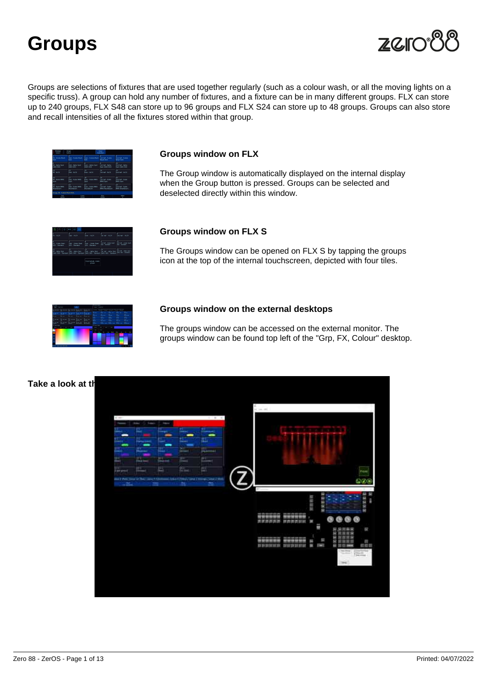

Groups are selections of fixtures that are used together regularly (such as a colour wash, or all the moving lights on a specific truss). A group can hold any number of fixtures, and a fixture can be in many different groups. FLX can store up to 240 groups, FLX S48 can store up to 96 groups and FLX S24 can store up to 48 groups. Groups can also store and recall intensities of all the fixtures stored within that group.

Groups window on FLX

The Group window is automatically displayed on the internal display when the Group button is pressed. Groups can be selected and deselected directly within this window.

Groups window on FLX S

The Groups window can be opened on FLX S by tapping the groups icon at the top of the internal touchscreen, depicted with four tiles.

Groups window on the external desktops

The groups window can be accessed on the external monitor. The groups window can be found top left of the "Grp, FX, Colour" desktop.

Take a look at the online Groups training session...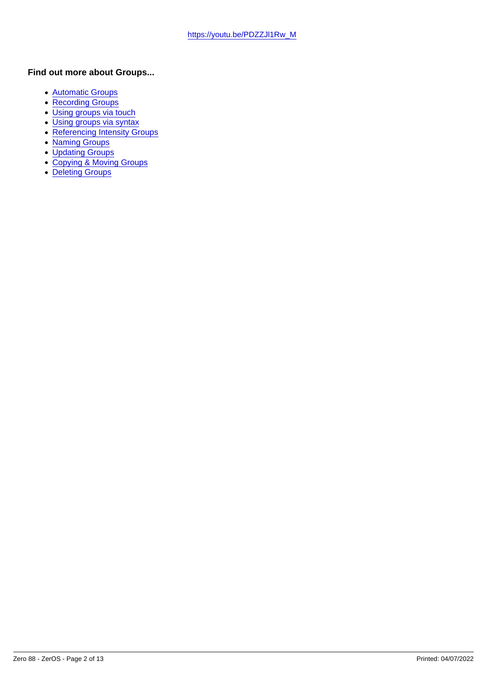Find out more about Groups...

- [Automatic Groups](/manuals/zeros/groups/automatic-groups)
- [Recording Groups](/manuals/zeros/groups/recording-groups)
- · [Using groups via touch](/manuals/zeros/groups/using-groups-via-touch)
- [Using groups via syntax](/manuals/zeros/groups/using-groups-via-syntax)
- [Referencing Intensity Groups](/manuals/zeros/groups/referencing-intensity-groups)
- [Naming Groups](/manuals/zeros/groups/naming-groups)
- [Updating Groups](/manuals/zeros/groups/updating-groups)
- [Copying & Moving Groups](/manuals/zeros/groups/copying-and-moving-groups)
- [Deleting Groups](/manuals/zeros/groups/deleting-groups)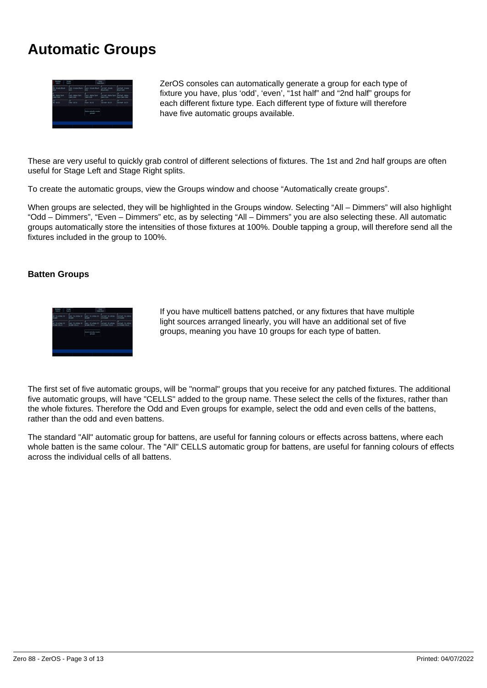## **Automatic Groups**



ZerOS consoles can automatically generate a group for each type of fixture you have, plus 'odd', 'even', "1st half" and "2nd half" groups for each different fixture type. Each different type of fixture will therefore have five automatic groups available.

These are very useful to quickly grab control of different selections of fixtures. The 1st and 2nd half groups are often useful for Stage Left and Stage Right splits.

To create the automatic groups, view the Groups window and choose "Automatically create groups".

When groups are selected, they will be highlighted in the Groups window. Selecting "All – Dimmers" will also highlight "Odd – Dimmers", "Even – Dimmers" etc, as by selecting "All – Dimmers" you are also selecting these. All automatic groups automatically store the intensities of those fixtures at 100%. Double tapping a group, will therefore send all the fixtures included in the group to 100%.

### **Batten Groups**



If you have multicell battens patched, or any fixtures that have multiple light sources arranged linearly, you will have an additional set of five groups, meaning you have 10 groups for each type of batten.

The first set of five automatic groups, will be "normal" groups that you receive for any patched fixtures. The additional five automatic groups, will have "CELLS" added to the group name. These select the cells of the fixtures, rather than the whole fixtures. Therefore the Odd and Even groups for example, select the odd and even cells of the battens, rather than the odd and even battens.

The standard "All" automatic group for battens, are useful for fanning colours or effects across battens, where each whole batten is the same colour. The "All" CELLS automatic group for battens, are useful for fanning colours of effects across the individual cells of all battens.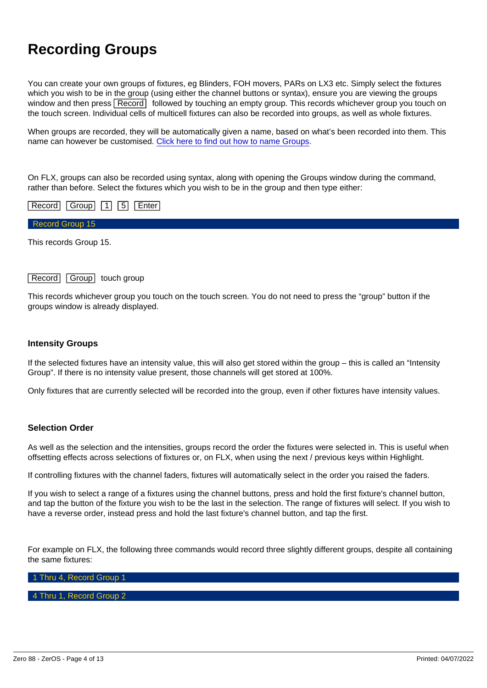## Recording Groups

You can create your own groups of fixtures, eg Blinders, FOH movers, PARs on LX3 etc. Simply select the fixtures which you wish to be in the group (using either the channel buttons or syntax), ensure you are viewing the groups window and then press Record followed by touching an empty group. This records whichever group you touch on the touch screen. Individual cells of multicell fixtures can also be recorded into groups, as well as whole fixtures.

When groups are recorded, they will be automatically given a name, based on what's been recorded into them. This name can however be customised. [Click here to find out how to name Groups](/manuals/zeros/groups/naming-groups).

On FLX, groups can also be recorded using syntax, along with opening the Groups window during the command, rather than before. Select the fixtures which you wish to be in the group and then type either:

| Record   Group  <br>Enter<br>$ 1 $   5 |  |  |
|----------------------------------------|--|--|
| Record Group 15                        |  |  |
|                                        |  |  |

This records Group 15.

### Record Group touch group

This records whichever group you touch on the touch screen. You do not need to press the "group" button if the groups window is already displayed.

#### Intensity Groups

If the selected fixtures have an intensity value, this will also get stored within the group – this is called an "Intensity Group". If there is no intensity value present, those channels will get stored at 100%.

Only fixtures that are currently selected will be recorded into the group, even if other fixtures have intensity values.

#### Selection Order

As well as the selection and the intensities, groups record the order the fixtures were selected in. This is useful when offsetting effects across selections of fixtures or, on FLX, when using the next / previous keys within Highlight.

If controlling fixtures with the channel faders, fixtures will automatically select in the order you raised the faders.

If you wish to select a range of a fixtures using the channel buttons, press and hold the first fixture's channel button, and tap the button of the fixture you wish to be the last in the selection. The range of fixtures will select. If you wish to have a reverse order, instead press and hold the last fixture's channel button, and tap the first.

For example on FLX, the following three commands would record three slightly different groups, despite all containing the same fixtures:

1 Thru 4, Record Group 1

#### 4 Thru 1, Record Group 2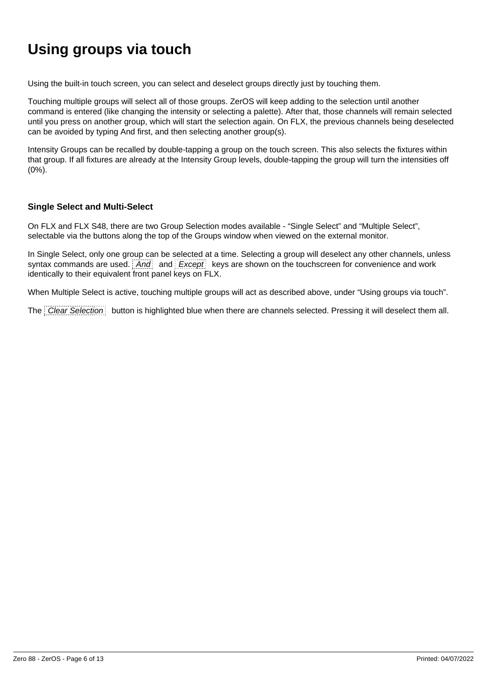# **Using groups via touch**

Using the built-in touch screen, you can select and deselect groups directly just by touching them.

Touching multiple groups will select all of those groups. ZerOS will keep adding to the selection until another command is entered (like changing the intensity or selecting a palette). After that, those channels will remain selected until you press on another group, which will start the selection again. On FLX, the previous channels being deselected can be avoided by typing And first, and then selecting another group(s).

Intensity Groups can be recalled by double-tapping a group on the touch screen. This also selects the fixtures within that group. If all fixtures are already at the Intensity Group levels, double-tapping the group will turn the intensities off (0%).

### **Single Select and Multi-Select**

On FLX and FLX S48, there are two Group Selection modes available - "Single Select" and "Multiple Select", selectable via the buttons along the top of the Groups window when viewed on the external monitor.

In Single Select, only one group can be selected at a time. Selecting a group will deselect any other channels, unless syntax commands are used.  $\frac{1}{2}$  and  $\frac{1}{2}$  Except keys are shown on the touchscreen for convenience and work identically to their equivalent front panel keys on FLX.

When Multiple Select is active, touching multiple groups will act as described above, under "Using groups via touch".

The Clear Selection button is highlighted blue when there are channels selected. Pressing it will deselect them all.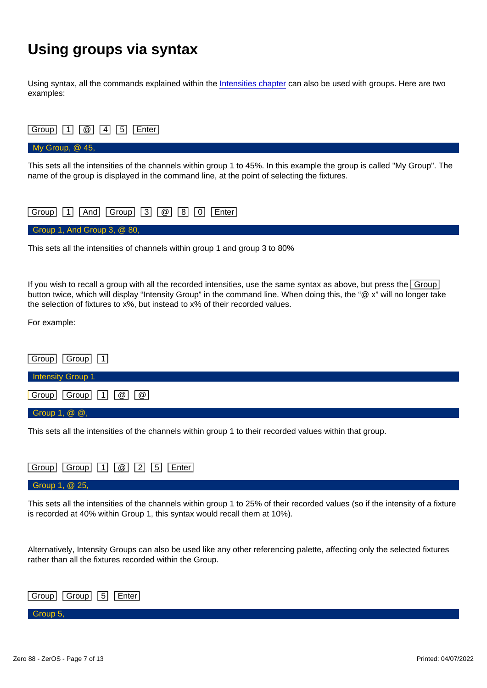# Using groups via syntax

Using syntax, all the commands explained within the [Intensities chapter](/manuals/zeros/intensity/commands) can also be used with groups. Here are two examples:



This sets all the intensities of channels within group 1 and group 3 to 80%

If you wish to recall a group with all the recorded intensities, use the same syntax as above, but press the Group button twice, which will display "Intensity Group" in the command line. When doing this, the "@ x" will no longer take the selection of fixtures to x%, but instead to x% of their recorded values.

For example:

| Group<br>$\boxed{\text{Group} \ \boxed{1}}$                     |  |  |
|-----------------------------------------------------------------|--|--|
| Intensity Group 1                                               |  |  |
| Group<br>$\boxed{\circledR}$<br>$\boxed{\omega}$<br>$Group$ $1$ |  |  |
| Group 1, @ @,                                                   |  |  |

This sets all the intensities of the channels within group 1 to their recorded values within that group.

| Enter<br>Group<br>$\left  \begin{array}{c c} \infty & 2 & 5 \end{array} \right $<br>  Group     1 |  |
|---------------------------------------------------------------------------------------------------|--|
| Group 1, $@25,$                                                                                   |  |

This sets all the intensities of the channels within group 1 to 25% of their recorded values (so if the intensity of a fixture is recorded at 40% within Group 1, this syntax would recall them at 10%).

Alternatively, Intensity Groups can also be used like any other referencing palette, affecting only the selected fixtures rather than all the fixtures recorded within the Group.

| Group     Group     5     Enter |  |
|---------------------------------|--|
|                                 |  |

### Group 5,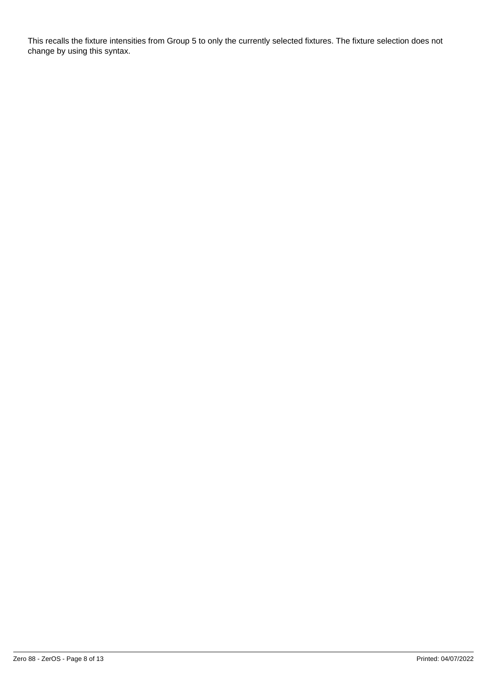This recalls the fixture intensities from Group 5 to only the currently selected fixtures. The fixture selection does not change by using this syntax.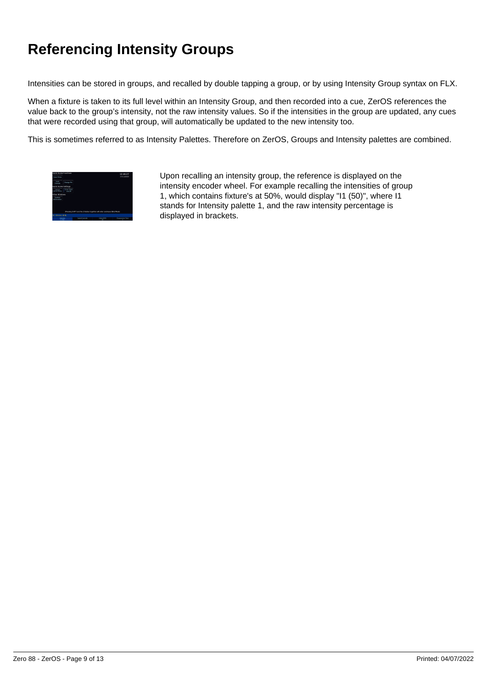# **Referencing Intensity Groups**

Intensities can be stored in groups, and recalled by double tapping a group, or by using Intensity Group syntax on FLX.

When a fixture is taken to its full level within an Intensity Group, and then recorded into a cue, ZerOS references the value back to the group's intensity, not the raw intensity values. So if the intensities in the group are updated, any cues that were recorded using that group, will automatically be updated to the new intensity too.

This is sometimes referred to as Intensity Palettes. Therefore on ZerOS, Groups and Intensity palettes are combined.



Upon recalling an intensity group, the reference is displayed on the intensity encoder wheel. For example recalling the intensities of group 1, which contains fixture's at 50%, would display "I1 (50)", where I1 stands for Intensity palette 1, and the raw intensity percentage is displayed in brackets.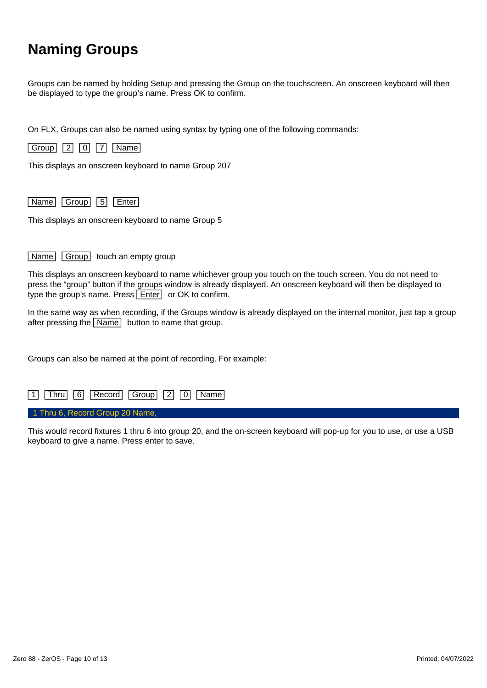# **Naming Groups**

Groups can be named by holding Setup and pressing the Group on the touchscreen. An onscreen keyboard will then be displayed to type the group's name. Press OK to confirm.

On FLX, Groups can also be named using syntax by typing one of the following commands:



This displays an onscreen keyboard to name Group 207

Name Group 5 Enter

This displays an onscreen keyboard to name Group 5

Name Group touch an empty group

This displays an onscreen keyboard to name whichever group you touch on the touch screen. You do not need to press the "group" button if the groups window is already displayed. An onscreen keyboard will then be displayed to type the group's name. Press  $\boxed{\text{Enter}}$  or OK to confirm.

In the same way as when recording, if the Groups window is already displayed on the internal monitor, just tap a group after pressing the  $\sqrt{\text{Name}}$  button to name that group.

Groups can also be named at the point of recording. For example:



This would record fixtures 1 thru 6 into group 20, and the on-screen keyboard will pop-up for you to use, or use a USB keyboard to give a name. Press enter to save.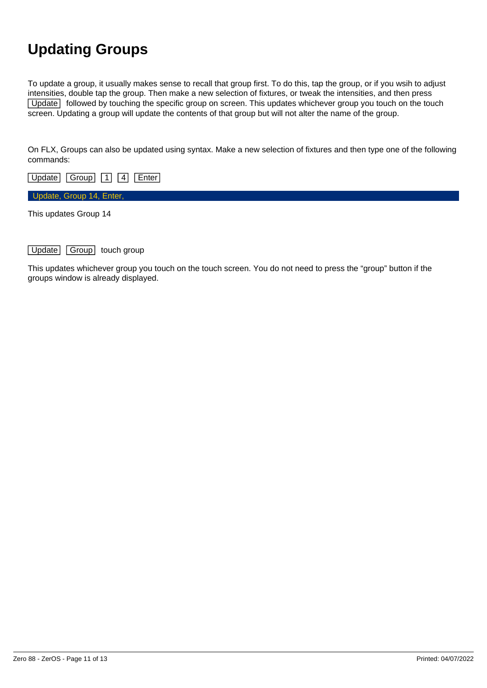# **Updating Groups**

To update a group, it usually makes sense to recall that group first. To do this, tap the group, or if you wsih to adjust intensities, double tap the group. Then make a new selection of fixtures, or tweak the intensities, and then press [Update] followed by touching the specific group on screen. This updates whichever group you touch on the touch screen. Updating a group will update the contents of that group but will not alter the name of the group.

On FLX, Groups can also be updated using syntax. Make a new selection of fixtures and then type one of the following commands:

Update Group 1 4 Enter

Update, Group 14, Enter,

This updates Group 14

Update Group touch group

This updates whichever group you touch on the touch screen. You do not need to press the "group" button if the groups window is already displayed.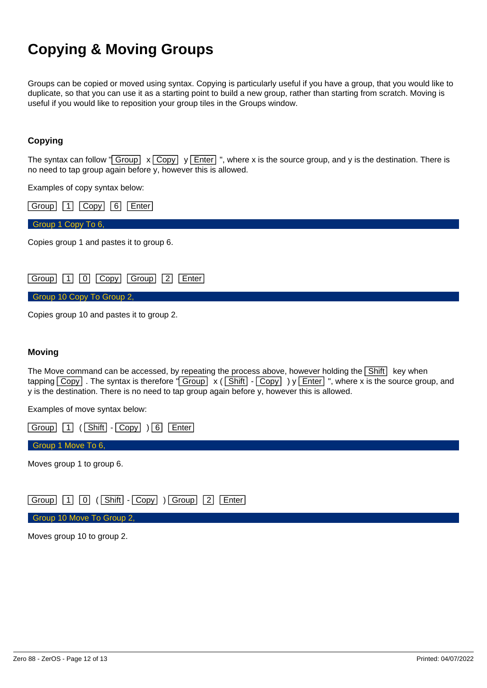# **Copying & Moving Groups**

Groups can be copied or moved using syntax. Copying is particularly useful if you have a group, that you would like to duplicate, so that you can use it as a starting point to build a new group, rather than starting from scratch. Moving is useful if you would like to reposition your group tiles in the Groups window.

### **Copying**

The syntax can follow " $\boxed{\text{Group}} \times \boxed{\text{Copy}}$  y  $\boxed{\text{Enter}}$ ", where x is the source group, and y is the destination. There is no need to tap group again before y, however this is allowed.

Examples of copy syntax below:

| Group<br>6<br>Copy<br>Enter                       |  |
|---------------------------------------------------|--|
| Group 1 Copy To 6,                                |  |
| Copies group 1 and pastes it to group 6.          |  |
| $Group$ $1$ $0$<br>$ Group $   2<br>Copy<br>Enter |  |
| Group 10 Copy To Group 2,                         |  |

Copies group 10 and pastes it to group 2.

#### **Moving**

The Move command can be accessed, by repeating the process above, however holding the  $\boxed{\text{Shift}}$  key when tapping  $\overline{Copy}$ . The syntax is therefore " $\overline{Group} \times (\overline{Shift} - \overline{Copy} )$  y  $\overline{Enter}$ ", where x is the source group, and y is the destination. There is no need to tap group again before y, however this is allowed.

Examples of move syntax below:

Group 1 (Shift - Copy ) 6 Enter

Group 1 Move To 6,

Moves group 1 to group 6.

Group 1 0 (Shift - Copy ) Group 2 Enter

Group 10 Move To Group 2,

Moves group 10 to group 2.